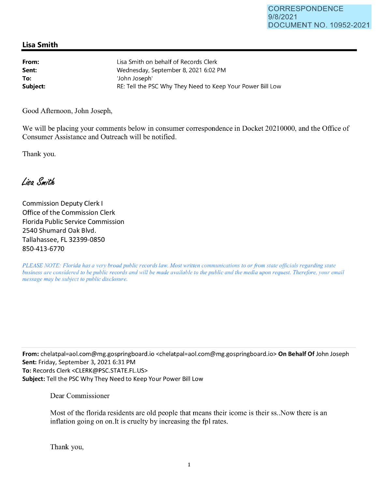## **Lisa Smith**

| From:    | Lisa Smith on behalf of Records Clerk                      |
|----------|------------------------------------------------------------|
| Sent:    | Wednesday, September 8, 2021 6:02 PM                       |
| To:      | 'John Joseph'                                              |
| Subject: | RE: Tell the PSC Why They Need to Keep Your Power Bill Low |
|          |                                                            |

Good Afternoon, John Joseph,

We will be placing your comments below in consumer correspondence in Docket 20210000, and the Office of Consumer Assistance and Outreach will be notified.

Thank you.

Lisa Smith

Commission Deputy Clerk I Office of the Commission Clerk Florida Public Service Commission 2540 Shumard Oak Blvd. Tallahassee, FL 32399-0850 850-413-6770

*PLEASE NOTE: Florida has a very broad public records law. Most written communications to or from state officials regarding state business are considered to be public records and will be made available to the public and the media upon request. Therefore, your email message may be subject to public disclosure.* 

**From:** chelatpal=aol.com@mg.gospringboard.io <chelatpal=aol.com@mg.gospringboard.io> **On Behalf Of** John Joseph **Sent:** Friday, September 3, 2021 6:31 PM **To:** Records Clerk <CLERK@PSC.STATE.FL.US> **Subject:** Tell the PSC Why They Need to Keep Your Power Bill Low

Dear Commissioner

Most of the tlorida residents are old people that means their icome is their ss .. Now there is an inflation going on on.It is cruelty by increasing the fpl rates.

Thank you,